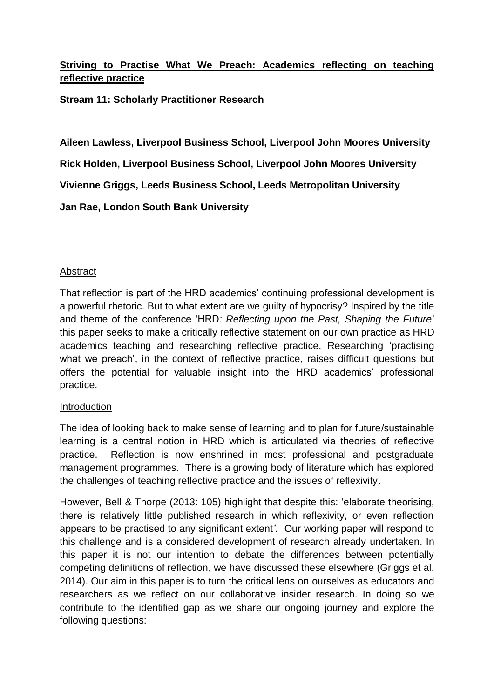# **Striving to Practise What We Preach: Academics reflecting on teaching reflective practice**

**Stream 11: Scholarly Practitioner Research**

**Aileen Lawless, Liverpool Business School, Liverpool John Moores University Rick Holden, Liverpool Business School, Liverpool John Moores University Vivienne Griggs, Leeds Business School, Leeds Metropolitan University Jan Rae, London South Bank University**

## Abstract

That reflection is part of the HRD academics' continuing professional development is a powerful rhetoric. But to what extent are we guilty of hypocrisy? Inspired by the title and theme of the conference 'HRD*: Reflecting upon the Past, Shaping the Future*' this paper seeks to make a critically reflective statement on our own practice as HRD academics teaching and researching reflective practice. Researching 'practising what we preach', in the context of reflective practice, raises difficult questions but offers the potential for valuable insight into the HRD academics' professional practice.

#### Introduction

The idea of looking back to make sense of learning and to plan for future/sustainable learning is a central notion in HRD which is articulated via theories of reflective practice. Reflection is now enshrined in most professional and postgraduate management programmes. There is a growing body of literature which has explored the challenges of teaching reflective practice and the issues of reflexivity.

However, Bell & Thorpe (2013: 105) highlight that despite this: 'elaborate theorising, there is relatively little published research in which reflexivity, or even reflection appears to be practised to any significant extent*'.* Our working paper will respond to this challenge and is a considered development of research already undertaken. In this paper it is not our intention to debate the differences between potentially competing definitions of reflection, we have discussed these elsewhere (Griggs et al. 2014). Our aim in this paper is to turn the critical lens on ourselves as educators and researchers as we reflect on our collaborative insider research. In doing so we contribute to the identified gap as we share our ongoing journey and explore the following questions: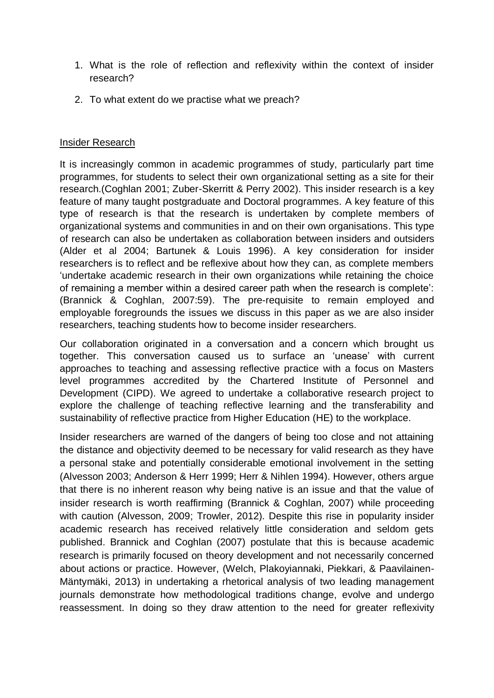- 1. What is the role of reflection and reflexivity within the context of insider research?
- 2. To what extent do we practise what we preach?

### Insider Research

It is increasingly common in academic programmes of study, particularly part time programmes, for students to select their own organizational setting as a site for their research.(Coghlan 2001; Zuber-Skerritt & Perry 2002). This insider research is a key feature of many taught postgraduate and Doctoral programmes. A key feature of this type of research is that the research is undertaken by complete members of organizational systems and communities in and on their own organisations. This type of research can also be undertaken as collaboration between insiders and outsiders (Alder et al 2004; Bartunek & Louis 1996). A key consideration for insider researchers is to reflect and be reflexive about how they can, as complete members 'undertake academic research in their own organizations while retaining the choice of remaining a member within a desired career path when the research is complete': (Brannick & Coghlan, 2007:59). The pre-requisite to remain employed and employable foregrounds the issues we discuss in this paper as we are also insider researchers, teaching students how to become insider researchers.

Our collaboration originated in a conversation and a concern which brought us together. This conversation caused us to surface an 'unease' with current approaches to teaching and assessing reflective practice with a focus on Masters level programmes accredited by the Chartered Institute of Personnel and Development (CIPD). We agreed to undertake a collaborative research project to explore the challenge of teaching reflective learning and the transferability and sustainability of reflective practice from Higher Education (HE) to the workplace.

Insider researchers are warned of the dangers of being too close and not attaining the distance and objectivity deemed to be necessary for valid research as they have a personal stake and potentially considerable emotional involvement in the setting (Alvesson 2003; Anderson & Herr 1999; Herr & Nihlen 1994). However, others argue that there is no inherent reason why being native is an issue and that the value of insider research is worth reaffirming (Brannick & Coghlan, 2007) while proceeding with caution [\(Alvesson, 2009;](#page-5-0) Trowler, 2012). Despite this rise in popularity insider academic research has received relatively little consideration and seldom gets published. Brannick and Coghlan (2007) postulate that this is because academic research is primarily focused on theory development and not necessarily concerned about actions or practice. However, (Welch, Plakoyiannaki, Piekkari, & Paavilainen-Mäntymäki, 2013) in undertaking a rhetorical analysis of two leading management journals demonstrate how methodological traditions change, evolve and undergo reassessment. In doing so they draw attention to the need for greater reflexivity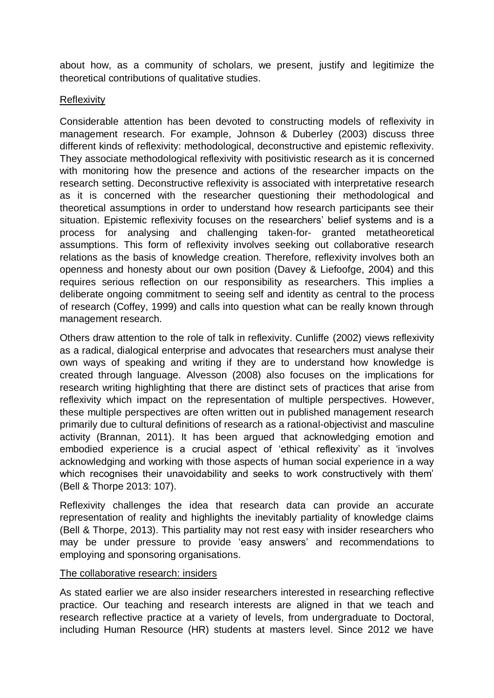about how, as a community of scholars, we present, justify and legitimize the theoretical contributions of qualitative studies.

#### Reflexivity

Considerable attention has been devoted to constructing models of reflexivity in management research. For example, Johnson & Duberley (2003) discuss three different kinds of reflexivity: methodological, deconstructive and epistemic reflexivity. They associate methodological reflexivity with positivistic research as it is concerned with monitoring how the presence and actions of the researcher impacts on the research setting. Deconstructive reflexivity is associated with interpretative research as it is concerned with the researcher questioning their methodological and theoretical assumptions in order to understand how research participants see their situation. Epistemic reflexivity focuses on the researchers' belief systems and is a process for analysing and challenging taken-for- granted metatheoretical assumptions. This form of reflexivity involves seeking out collaborative research relations as the basis of knowledge creation. Therefore, reflexivity involves both an openness and honesty about our own position (Davey & Liefoofge, 2004) and this requires serious reflection on our responsibility as researchers. This implies a deliberate ongoing commitment to seeing self and identity as central to the process of research (Coffey, 1999) and calls into question what can be really known through management research.

Others draw attention to the role of talk in reflexivity. Cunliffe (2002) views reflexivity as a radical, dialogical enterprise and advocates that researchers must analyse their own ways of speaking and writing if they are to understand how knowledge is created through language. Alvesson (2008) also focuses on the implications for research writing highlighting that there are distinct sets of practices that arise from reflexivity which impact on the representation of multiple perspectives. However, these multiple perspectives are often written out in published management research primarily due to cultural definitions of research as a rational-objectivist and masculine activity (Brannan, 2011). It has been argued that acknowledging emotion and embodied experience is a crucial aspect of 'ethical reflexivity' as it 'involves acknowledging and working with those aspects of human social experience in a way which recognises their unavoidability and seeks to work constructively with them' (Bell & Thorpe 2013: 107).

Reflexivity challenges the idea that research data can provide an accurate representation of reality and highlights the inevitably partiality of knowledge claims (Bell & Thorpe, 2013). This partiality may not rest easy with insider researchers who may be under pressure to provide 'easy answers' and recommendations to employing and sponsoring organisations.

#### The collaborative research: insiders

As stated earlier we are also insider researchers interested in researching reflective practice. Our teaching and research interests are aligned in that we teach and research reflective practice at a variety of levels, from undergraduate to Doctoral, including Human Resource (HR) students at masters level. Since 2012 we have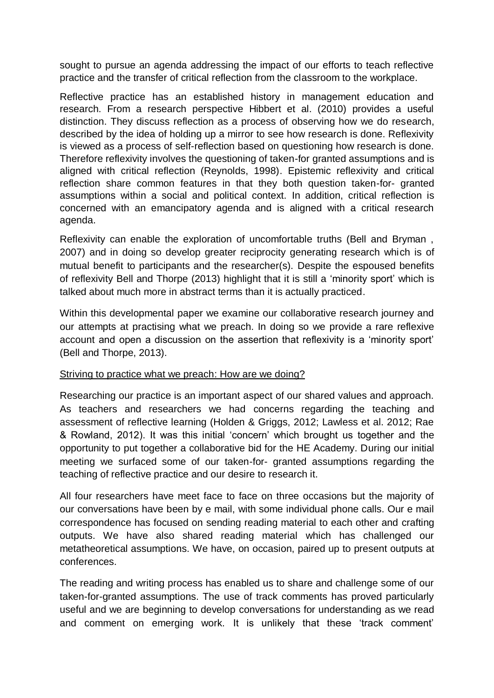sought to pursue an agenda addressing the impact of our efforts to teach reflective practice and the transfer of critical reflection from the classroom to the workplace.

Reflective practice has an established history in management education and research. From a research perspective Hibbert et al. (2010) provides a useful distinction. They discuss reflection as a process of observing how we do research, described by the idea of holding up a mirror to see how research is done. Reflexivity is viewed as a process of self-reflection based on questioning how research is done. Therefore reflexivity involves the questioning of taken-for granted assumptions and is aligned with critical reflection (Reynolds, 1998). Epistemic reflexivity and critical reflection share common features in that they both question taken-for- granted assumptions within a social and political context. In addition, critical reflection is concerned with an emancipatory agenda and is aligned with a critical research agenda.

Reflexivity can enable the exploration of uncomfortable truths (Bell and Bryman , 2007) and in doing so develop greater reciprocity generating research which is of mutual benefit to participants and the researcher(s). Despite the espoused benefits of reflexivity Bell and Thorpe (2013) highlight that it is still a 'minority sport' which is talked about much more in abstract terms than it is actually practiced.

Within this developmental paper we examine our collaborative research journey and our attempts at practising what we preach. In doing so we provide a rare reflexive account and open a discussion on the assertion that reflexivity is a 'minority sport' (Bell and Thorpe, 2013).

#### Striving to practice what we preach: How are we doing?

Researching our practice is an important aspect of our shared values and approach. As teachers and researchers we had concerns regarding the teaching and assessment of reflective learning (Holden & Griggs, 2012; Lawless et al. 2012; Rae & Rowland, 2012). It was this initial 'concern' which brought us together and the opportunity to put together a collaborative bid for the HE Academy. During our initial meeting we surfaced some of our taken-for- granted assumptions regarding the teaching of reflective practice and our desire to research it.

All four researchers have meet face to face on three occasions but the majority of our conversations have been by e mail, with some individual phone calls. Our e mail correspondence has focused on sending reading material to each other and crafting outputs. We have also shared reading material which has challenged our metatheoretical assumptions. We have, on occasion, paired up to present outputs at conferences.

The reading and writing process has enabled us to share and challenge some of our taken-for-granted assumptions. The use of track comments has proved particularly useful and we are beginning to develop conversations for understanding as we read and comment on emerging work. It is unlikely that these 'track comment'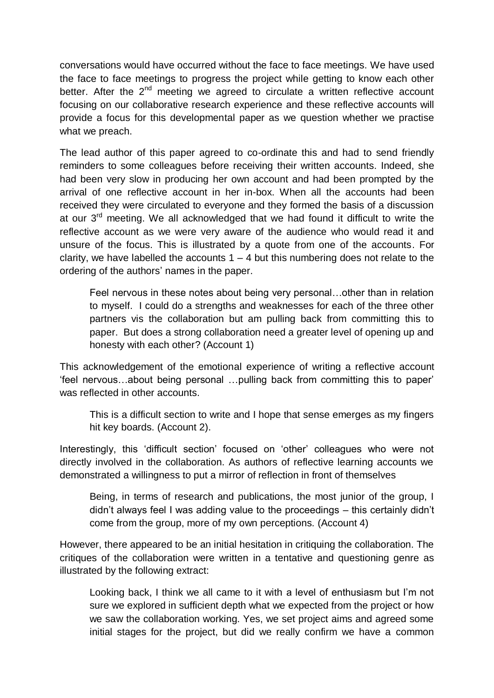conversations would have occurred without the face to face meetings. We have used the face to face meetings to progress the project while getting to know each other better. After the  $2<sup>nd</sup>$  meeting we agreed to circulate a written reflective account focusing on our collaborative research experience and these reflective accounts will provide a focus for this developmental paper as we question whether we practise what we preach.

The lead author of this paper agreed to co-ordinate this and had to send friendly reminders to some colleagues before receiving their written accounts. Indeed, she had been very slow in producing her own account and had been prompted by the arrival of one reflective account in her in-box. When all the accounts had been received they were circulated to everyone and they formed the basis of a discussion at our  $3^{rd}$  meeting. We all acknowledged that we had found it difficult to write the reflective account as we were very aware of the audience who would read it and unsure of the focus. This is illustrated by a quote from one of the accounts. For clarity, we have labelled the accounts  $1 - 4$  but this numbering does not relate to the ordering of the authors' names in the paper.

Feel nervous in these notes about being very personal…other than in relation to myself. I could do a strengths and weaknesses for each of the three other partners vis the collaboration but am pulling back from committing this to paper. But does a strong collaboration need a greater level of opening up and honesty with each other? (Account 1)

This acknowledgement of the emotional experience of writing a reflective account 'feel nervous…about being personal …pulling back from committing this to paper' was reflected in other accounts.

This is a difficult section to write and I hope that sense emerges as my fingers hit key boards. (Account 2).

Interestingly, this 'difficult section' focused on 'other' colleagues who were not directly involved in the collaboration. As authors of reflective learning accounts we demonstrated a willingness to put a mirror of reflection in front of themselves

Being, in terms of research and publications, the most junior of the group, I didn't always feel I was adding value to the proceedings – this certainly didn't come from the group, more of my own perceptions. (Account 4)

However, there appeared to be an initial hesitation in critiquing the collaboration. The critiques of the collaboration were written in a tentative and questioning genre as illustrated by the following extract:

Looking back, I think we all came to it with a level of enthusiasm but I'm not sure we explored in sufficient depth what we expected from the project or how we saw the collaboration working. Yes, we set project aims and agreed some initial stages for the project, but did we really confirm we have a common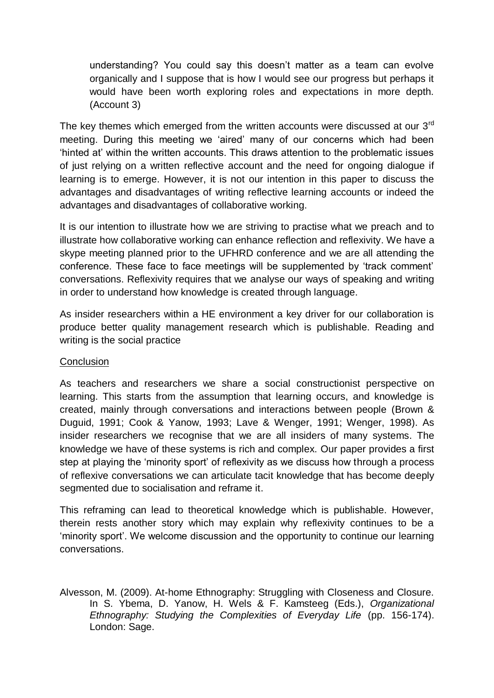understanding? You could say this doesn't matter as a team can evolve organically and I suppose that is how I would see our progress but perhaps it would have been worth exploring roles and expectations in more depth. (Account 3)

The key themes which emerged from the written accounts were discussed at our 3<sup>rd</sup> meeting. During this meeting we 'aired' many of our concerns which had been 'hinted at' within the written accounts. This draws attention to the problematic issues of just relying on a written reflective account and the need for ongoing dialogue if learning is to emerge. However, it is not our intention in this paper to discuss the advantages and disadvantages of writing reflective learning accounts or indeed the advantages and disadvantages of collaborative working.

It is our intention to illustrate how we are striving to practise what we preach and to illustrate how collaborative working can enhance reflection and reflexivity. We have a skype meeting planned prior to the UFHRD conference and we are all attending the conference. These face to face meetings will be supplemented by 'track comment' conversations. Reflexivity requires that we analyse our ways of speaking and writing in order to understand how knowledge is created through language.

As insider researchers within a HE environment a key driver for our collaboration is produce better quality management research which is publishable. Reading and writing is the social practice

# **Conclusion**

As teachers and researchers we share a social constructionist perspective on learning. This starts from the assumption that learning occurs, and knowledge is created, mainly through conversations and interactions between people (Brown & Duguid, 1991; Cook & Yanow, 1993; Lave & Wenger, 1991; [Wenger, 1998\)](#page-7-0). As insider researchers we recognise that we are all insiders of many systems. The knowledge we have of these systems is rich and complex. Our paper provides a first step at playing the 'minority sport' of reflexivity as we discuss how through a process of reflexive conversations we can articulate tacit knowledge that has become deeply segmented due to socialisation and reframe it.

This reframing can lead to theoretical knowledge which is publishable. However, therein rests another story which may explain why reflexivity continues to be a 'minority sport'. We welcome discussion and the opportunity to continue our learning conversations.

<span id="page-5-0"></span>Alvesson, M. (2009). At-home Ethnography: Struggling with Closeness and Closure. In S. Ybema, D. Yanow, H. Wels & F. Kamsteeg (Eds.), *Organizational Ethnography: Studying the Complexities of Everyday Life* (pp. 156-174). London: Sage.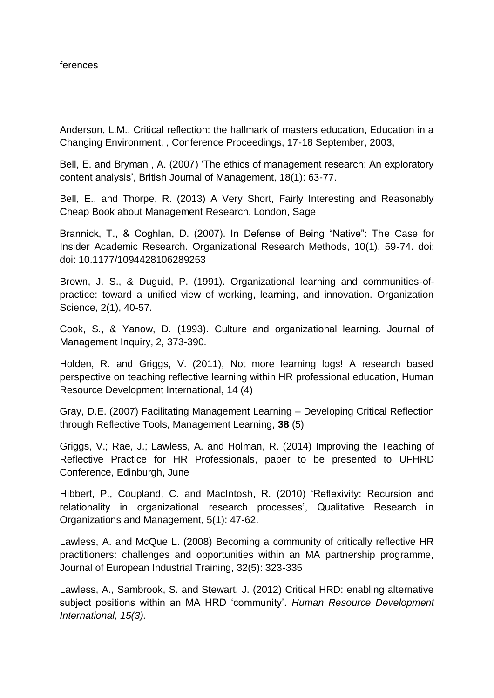#### ferences

Anderson, L.M., Critical reflection: the hallmark of masters education, Education in a Changing Environment, , Conference Proceedings, 17-18 September, 2003,

Bell, E. and Bryman , A. (2007) 'The ethics of management research: An exploratory content analysis', British Journal of Management, 18(1): 63-77.

Bell, E., and Thorpe, R. (2013) A Very Short, Fairly Interesting and Reasonably Cheap Book about Management Research, London, Sage

Brannick, T., & Coghlan, D. (2007). In Defense of Being "Native": The Case for Insider Academic Research. Organizational Research Methods, 10(1), 59-74. doi: doi: 10.1177/1094428106289253

Brown, J. S., & Duguid, P. (1991). Organizational learning and communities-ofpractice: toward a unified view of working, learning, and innovation. Organization Science, 2(1), 40-57.

Cook, S., & Yanow, D. (1993). Culture and organizational learning. Journal of Management Inquiry, 2, 373-390.

Holden, R. and Griggs, V. (2011), Not more learning logs! A research based perspective on teaching reflective learning within HR professional education, Human Resource Development International, 14 (4)

Gray, D.E. (2007) Facilitating Management Learning – Developing Critical Reflection through Reflective Tools, Management Learning, **38** (5)

Griggs, V.; Rae, J.; Lawless, A. and Holman, R. (2014) Improving the Teaching of Reflective Practice for HR Professionals, paper to be presented to UFHRD Conference, Edinburgh, June

Hibbert, P., Coupland, C. and MacIntosh, R. (2010) 'Reflexivity: Recursion and relationality in organizational research processes', Qualitative Research in Organizations and Management, 5(1): 47-62.

Lawless, A. and McQue L. (2008) Becoming a community of critically reflective HR practitioners: challenges and opportunities within an MA partnership programme, Journal of European Industrial Training, 32(5): 323-335

Lawless, A., Sambrook, S. and Stewart, J. (2012) Critical HRD: enabling alternative subject positions within an MA HRD 'community'. *Human Resource Development International, 15(3).*